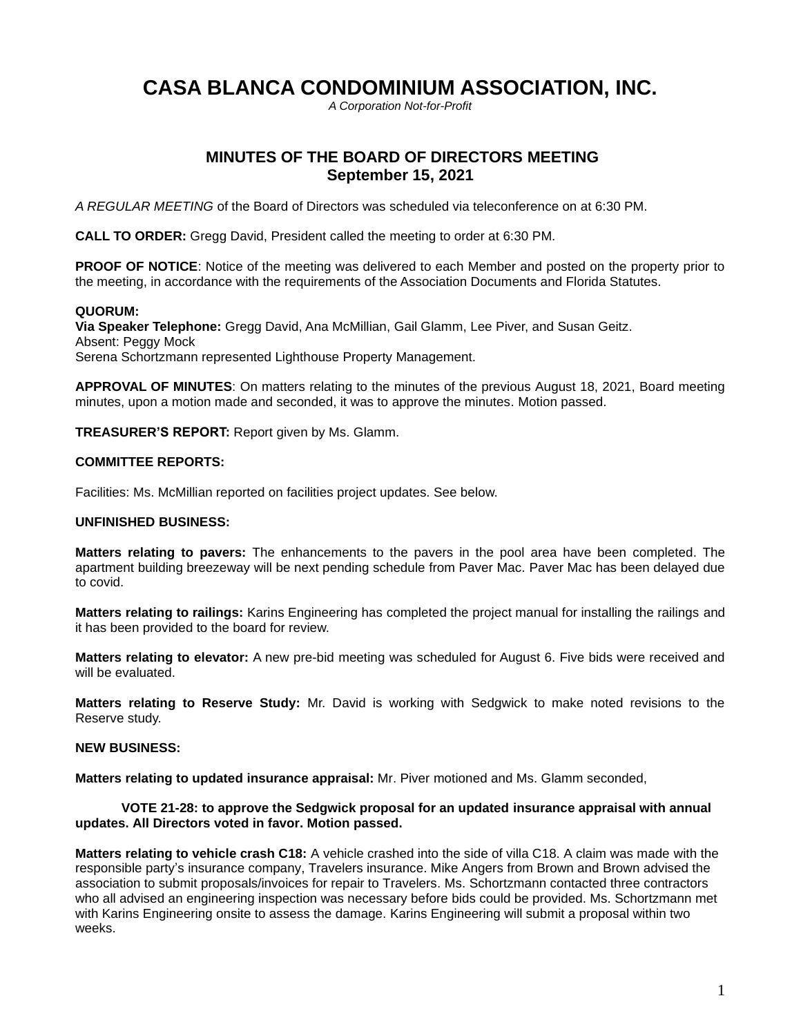# **CASA BLANCA CONDOMINIUM ASSOCIATION, INC.**

*A Corporation Not-for-Profit*

# **MINUTES OF THE BOARD OF DIRECTORS MEETING September 15, 2021**

*A REGULAR MEETING* of the Board of Directors was scheduled via teleconference on at 6:30 PM.

**CALL TO ORDER:** Gregg David, President called the meeting to order at 6:30 PM.

**PROOF OF NOTICE:** Notice of the meeting was delivered to each Member and posted on the property prior to the meeting, in accordance with the requirements of the Association Documents and Florida Statutes.

## **QUORUM:**

**Via Speaker Telephone:** Gregg David, Ana McMillian, Gail Glamm, Lee Piver, and Susan Geitz. Absent: Peggy Mock Serena Schortzmann represented Lighthouse Property Management.

**APPROVAL OF MINUTES**: On matters relating to the minutes of the previous August 18, 2021, Board meeting minutes, upon a motion made and seconded, it was to approve the minutes. Motion passed.

**TREASURER'S REPORT:** Report given by Ms. Glamm.

## **COMMITTEE REPORTS:**

Facilities: Ms. McMillian reported on facilities project updates. See below.

#### **UNFINISHED BUSINESS:**

**Matters relating to pavers:** The enhancements to the pavers in the pool area have been completed. The apartment building breezeway will be next pending schedule from Paver Mac. Paver Mac has been delayed due to covid.

**Matters relating to railings:** Karins Engineering has completed the project manual for installing the railings and it has been provided to the board for review.

**Matters relating to elevator:** A new pre-bid meeting was scheduled for August 6. Five bids were received and will be evaluated.

**Matters relating to Reserve Study:** Mr. David is working with Sedgwick to make noted revisions to the Reserve study.

## **NEW BUSINESS:**

**Matters relating to updated insurance appraisal:** Mr. Piver motioned and Ms. Glamm seconded,

#### **VOTE 21-28: to approve the Sedgwick proposal for an updated insurance appraisal with annual updates. All Directors voted in favor. Motion passed.**

**Matters relating to vehicle crash C18:** A vehicle crashed into the side of villa C18. A claim was made with the responsible party's insurance company, Travelers insurance. Mike Angers from Brown and Brown advised the association to submit proposals/invoices for repair to Travelers. Ms. Schortzmann contacted three contractors who all advised an engineering inspection was necessary before bids could be provided. Ms. Schortzmann met with Karins Engineering onsite to assess the damage. Karins Engineering will submit a proposal within two weeks.